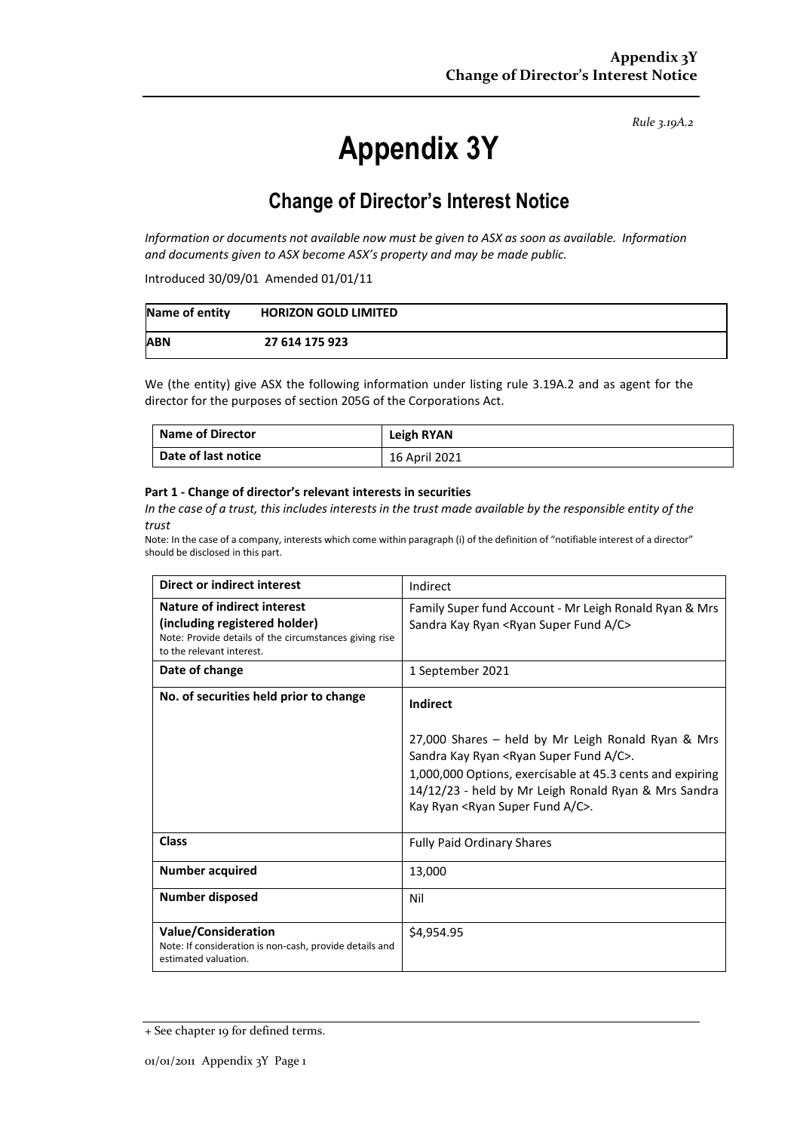*Rule 3.19A.2*

# **Appendix 3Y**

# **Change of Director's Interest Notice**

*Information or documents not available now must be given to ASX as soon as available. Information and documents given to ASX become ASX's property and may be made public.*

Introduced 30/09/01 Amended 01/01/11

| Name of entity | <b>HORIZON GOLD LIMITED</b> |
|----------------|-----------------------------|
| <b>ABN</b>     | 27 614 175 923              |

We (the entity) give ASX the following information under listing rule 3.19A.2 and as agent for the director for the purposes of section 205G of the Corporations Act.

| <b>Name of Director</b> | Leigh RYAN    |
|-------------------------|---------------|
| Date of last notice     | 16 April 2021 |

#### **Part 1 - Change of director's relevant interests in securities**

*In the case of a trust, this includes interests in the trust made available by the responsible entity of the trust*

Note: In the case of a company, interests which come within paragraph (i) of the definition of "notifiable interest of a director" should be disclosed in this part.

| <b>Direct or indirect interest</b>                                                                                                                  | Indirect                                                                                                                                                                                                                                                                                                      |  |
|-----------------------------------------------------------------------------------------------------------------------------------------------------|---------------------------------------------------------------------------------------------------------------------------------------------------------------------------------------------------------------------------------------------------------------------------------------------------------------|--|
| Nature of indirect interest<br>(including registered holder)<br>Note: Provide details of the circumstances giving rise<br>to the relevant interest. | Family Super fund Account - Mr Leigh Ronald Ryan & Mrs<br>Sandra Kay Ryan <ryan a="" c="" fund="" super=""></ryan>                                                                                                                                                                                            |  |
| Date of change                                                                                                                                      | 1 September 2021                                                                                                                                                                                                                                                                                              |  |
| No. of securities held prior to change                                                                                                              | Indirect<br>27,000 Shares - held by Mr Leigh Ronald Ryan & Mrs<br>Sandra Kay Ryan <ryan a="" c="" fund="" super="">.<br/>1,000,000 Options, exercisable at 45.3 cents and expiring<br/>14/12/23 - held by Mr Leigh Ronald Ryan &amp; Mrs Sandra<br/>Kay Ryan <ryan a="" c="" fund="" super="">.</ryan></ryan> |  |
| Class                                                                                                                                               | <b>Fully Paid Ordinary Shares</b>                                                                                                                                                                                                                                                                             |  |
| <b>Number acquired</b>                                                                                                                              | 13,000                                                                                                                                                                                                                                                                                                        |  |
| Number disposed                                                                                                                                     | Nil                                                                                                                                                                                                                                                                                                           |  |
| <b>Value/Consideration</b><br>Note: If consideration is non-cash, provide details and<br>estimated valuation.                                       | \$4,954.95                                                                                                                                                                                                                                                                                                    |  |

<sup>+</sup> See chapter 19 for defined terms.